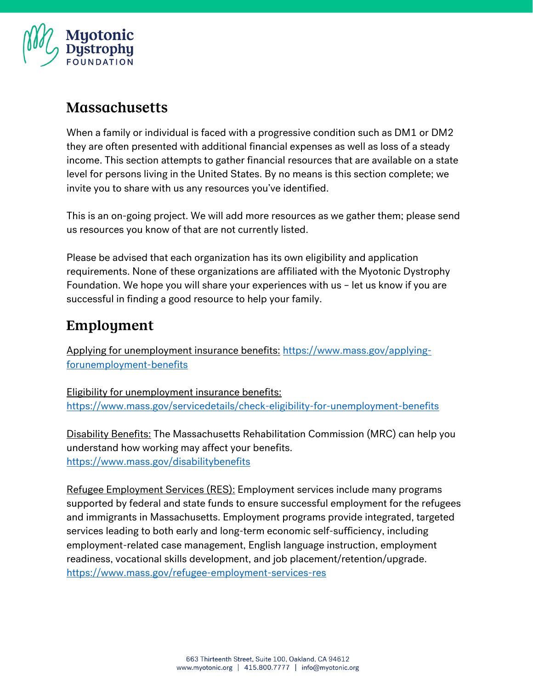

#### **Massachusetts**

When a family or individual is faced with a progressive condition such as DM1 or DM2 they are often presented with additional financial expenses as well as loss of a steady income. This section attempts to gather financial resources that are available on a state level for persons living in the United States. By no means is this section complete; we invite you to share with us any resources you've identified.

This is an on-going project. We will add more resources as we gather them; please send us resources you know of that are not currently listed.

Please be advised that each organization has its own eligibility and application requirements. None of these organizations are affiliated with the Myotonic Dystrophy Foundation. We hope you will share your experiences with us – let us know if you are successful in finding a good resource to help your family.

### Employment

Applying for unemployment insurance benefits: [https://www.mass.gov/applying](https://www.mass.gov/applying-forunemployment-benefits)[forunemployment-benefits](https://www.mass.gov/applying-forunemployment-benefits)

Eligibility for unemployment insurance benefits: <https://www.mass.gov/servicedetails/check-eligibility-for-unemployment-benefits>

Disability Benefits: The Massachusetts Rehabilitation Commission (MRC) can help you understand how working may affect your benefits. <https://www.mass.gov/disabilitybenefits>

Refugee Employment Services (RES): Employment services include many programs supported by federal and state funds to ensure successful employment for the refugees and immigrants in Massachusetts. Employment programs provide integrated, targeted services leading to both early and long-term economic self-sufficiency, including employment-related case management, English language instruction, employment readiness, vocational skills development, and job placement/retention/upgrade. <https://www.mass.gov/refugee-employment-services-res>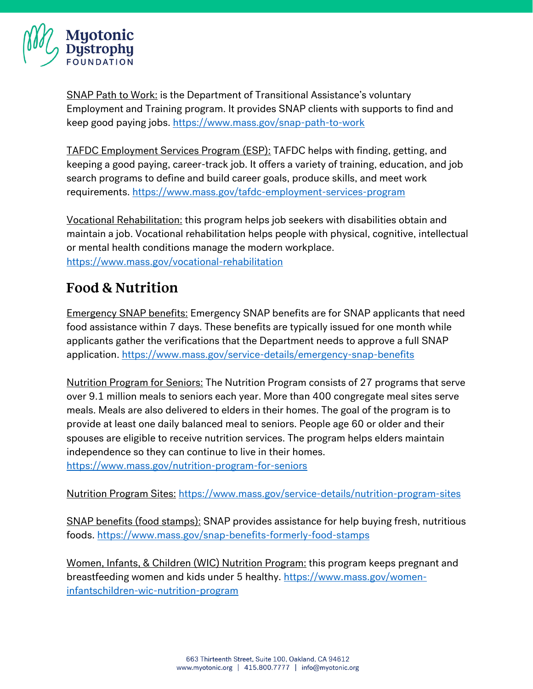

SNAP Path to Work: is the Department of Transitional Assistance's voluntary Employment and Training program. It provides SNAP clients with supports to find and keep good paying jobs.<https://www.mass.gov/snap-path-to-work>

TAFDC Employment Services Program (ESP): TAFDC helps with finding, getting, and keeping a good paying, career-track job. It offers a variety of training, education, and job search programs to define and build career goals, produce skills, and meet work requirements.<https://www.mass.gov/tafdc-employment-services-program>

Vocational Rehabilitation: this program helps job seekers with disabilities obtain and maintain a job. Vocational rehabilitation helps people with physical, cognitive, intellectual or mental health conditions manage the modern workplace. <https://www.mass.gov/vocational-rehabilitation>

### **Food & Nutrition**

Emergency SNAP benefits: Emergency SNAP benefits are for SNAP applicants that need food assistance within 7 days. These benefits are typically issued for one month while applicants gather the verifications that the Department needs to approve a full SNAP application.<https://www.mass.gov/service-details/emergency-snap-benefits>

Nutrition Program for Seniors: The Nutrition Program consists of 27 programs that serve over 9.1 million meals to seniors each year. More than 400 congregate meal sites serve meals. Meals are also delivered to elders in their homes. The goal of the program is to provide at least one daily balanced meal to seniors. People age 60 or older and their spouses are eligible to receive nutrition services. The program helps elders maintain independence so they can continue to live in their homes. <https://www.mass.gov/nutrition-program-for-seniors>

Nutrition Program Sites: <https://www.mass.gov/service-details/nutrition-program-sites>

SNAP benefits (food stamps): SNAP provides assistance for help buying fresh, nutritious foods.<https://www.mass.gov/snap-benefits-formerly-food-stamps>

Women, Infants, & Children (WIC) Nutrition Program: this program keeps pregnant and breastfeeding women and kids under 5 healthy. [https://www.mass.gov/women](https://www.mass.gov/women-infantschildren-wic-nutrition-program)[infantschildren-wic-nutrition-program](https://www.mass.gov/women-infantschildren-wic-nutrition-program)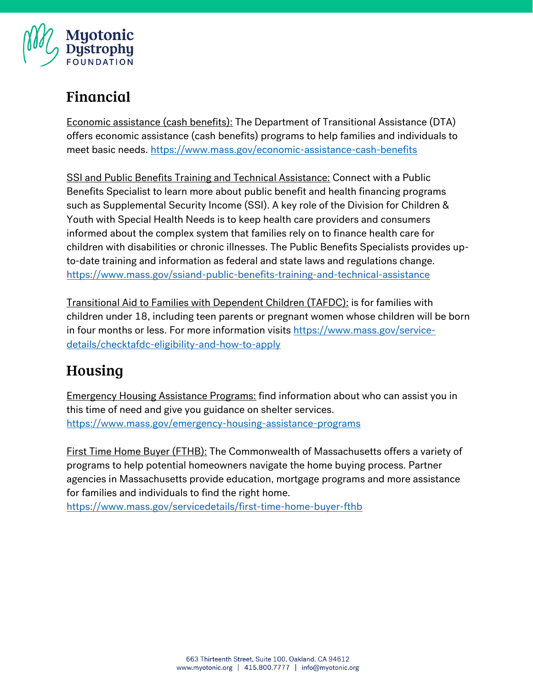

## Financial

Economic assistance (cash benefits): The Department of Transitional Assistance (DTA) offers economic assistance (cash benefits) programs to help families and individuals to meet basic needs.<https://www.mass.gov/economic-assistance-cash-benefits>

SSI and Public Benefits Training and Technical Assistance: Connect with a Public Benefits Specialist to learn more about public benefit and health financing programs such as Supplemental Security Income (SSI). A key role of the Division for Children & Youth with Special Health Needs is to keep health care providers and consumers informed about the complex system that families rely on to finance health care for children with disabilities or chronic illnesses. The Public Benefits Specialists provides upto-date training and information as federal and state laws and regulations change. <https://www.mass.gov/ssiand-public-benefits-training-and-technical-assistance>

Transitional Aid to Families with Dependent Children (TAFDC): is for families with children under 18, including teen parents or pregnant women whose children will be born in four months or less. For more information visits [https://www.mass.gov/service](https://www.mass.gov/service-details/checktafdc-eligibility-and-how-to-apply)[details/checktafdc-eligibility-and-how-to-apply](https://www.mass.gov/service-details/checktafdc-eligibility-and-how-to-apply)

# Housing

Emergency Housing Assistance Programs: find information about who can assist you in this time of need and give you guidance on shelter services. <https://www.mass.gov/emergency-housing-assistance-programs>

First Time Home Buyer (FTHB): The Commonwealth of Massachusetts offers a variety of programs to help potential homeowners navigate the home buying process. Partner agencies in Massachusetts provide education, mortgage programs and more assistance for families and individuals to find the right home.

<https://www.mass.gov/servicedetails/first-time-home-buyer-fthb>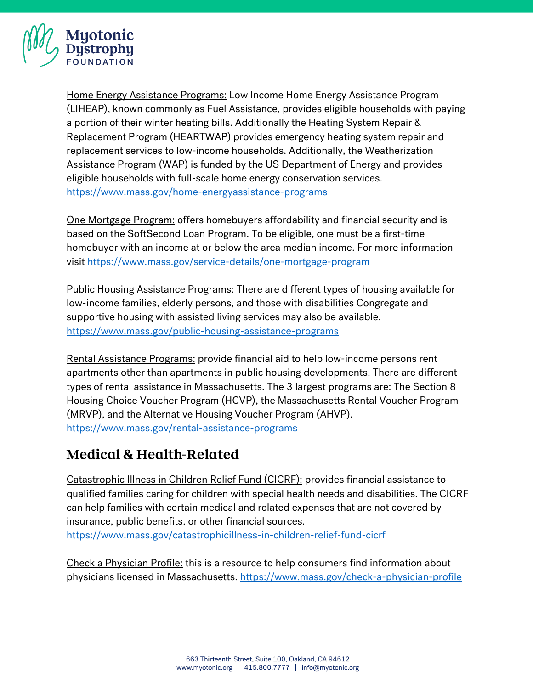

Home Energy Assistance Programs: Low Income Home Energy Assistance Program (LIHEAP), known commonly as Fuel Assistance, provides eligible households with paying a portion of their winter heating bills. Additionally the Heating System Repair & Replacement Program (HEARTWAP) provides emergency heating system repair and replacement services to low-income households. Additionally, the Weatherization Assistance Program (WAP) is funded by the US Department of Energy and provides eligible households with full-scale home energy conservation services. <https://www.mass.gov/home-energyassistance-programs>

One Mortgage Program: offers homebuyers affordability and financial security and is based on the SoftSecond Loan Program. To be eligible, one must be a first-time homebuyer with an income at or below the area median income. For more information visit<https://www.mass.gov/service-details/one-mortgage-program>

Public Housing Assistance Programs: There are different types of housing available for low-income families, elderly persons, and those with disabilities Congregate and supportive housing with assisted living services may also be available. <https://www.mass.gov/public-housing-assistance-programs>

Rental Assistance Programs: provide financial aid to help low-income persons rent apartments other than apartments in public housing developments. There are different types of rental assistance in Massachusetts. The 3 largest programs are: The Section 8 Housing Choice Voucher Program (HCVP), the Massachusetts Rental Voucher Program (MRVP), and the Alternative Housing Voucher Program (AHVP). <https://www.mass.gov/rental-assistance-programs>

### **Medical & Health-Related**

Catastrophic Illness in Children Relief Fund (CICRF): provides financial assistance to qualified families caring for children with special health needs and disabilities. The CICRF can help families with certain medical and related expenses that are not covered by insurance, public benefits, or other financial sources.

<https://www.mass.gov/catastrophicillness-in-children-relief-fund-cicrf>

Check a Physician Profile: this is a resource to help consumers find information about physicians licensed in Massachusetts.<https://www.mass.gov/check-a-physician-profile>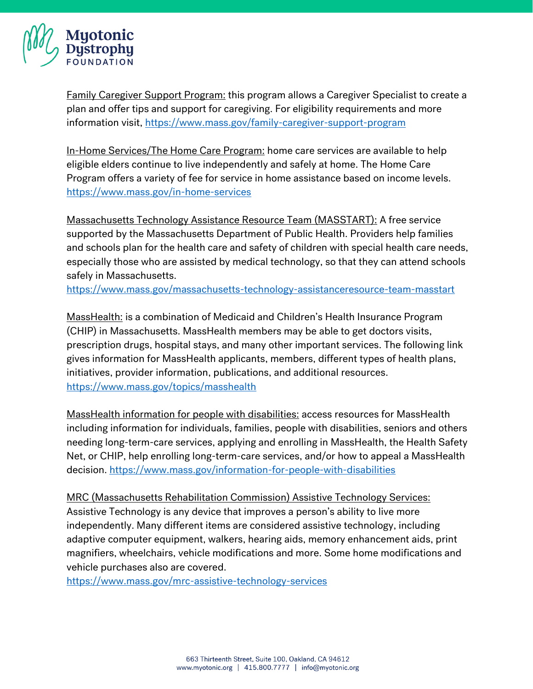

Family Caregiver Support Program: this program allows a Caregiver Specialist to create a plan and offer tips and support for caregiving. For eligibility requirements and more information visit,<https://www.mass.gov/family-caregiver-support-program>

In-Home Services/The Home Care Program: home care services are available to help eligible elders continue to live independently and safely at home. The Home Care Program offers a variety of fee for service in home assistance based on income levels. <https://www.mass.gov/in-home-services>

Massachusetts Technology Assistance Resource Team (MASSTART): A free service supported by the Massachusetts Department of Public Health. Providers help families and schools plan for the health care and safety of children with special health care needs, especially those who are assisted by medical technology, so that they can attend schools safely in Massachusetts.

<https://www.mass.gov/massachusetts-technology-assistanceresource-team-masstart>

MassHealth: is a combination of Medicaid and Children's Health Insurance Program (CHIP) in Massachusetts. MassHealth members may be able to get doctors visits, prescription drugs, hospital stays, and many other important services. The following link gives information for MassHealth applicants, members, different types of health plans, initiatives, provider information, publications, and additional resources. <https://www.mass.gov/topics/masshealth>

MassHealth information for people with disabilities: access resources for MassHealth including information for individuals, families, people with disabilities, seniors and others needing long-term-care services, applying and enrolling in MassHealth, the Health Safety Net, or CHIP, help enrolling long-term-care services, and/or how to appeal a MassHealth decision. <https://www.mass.gov/information-for-people-with-disabilities>

MRC (Massachusetts Rehabilitation Commission) Assistive Technology Services: Assistive Technology is any device that improves a person's ability to live more independently. Many different items are considered assistive technology, including adaptive computer equipment, walkers, hearing aids, memory enhancement aids, print magnifiers, wheelchairs, vehicle modifications and more. Some home modifications and vehicle purchases also are covered.

<https://www.mass.gov/mrc-assistive-technology-services>